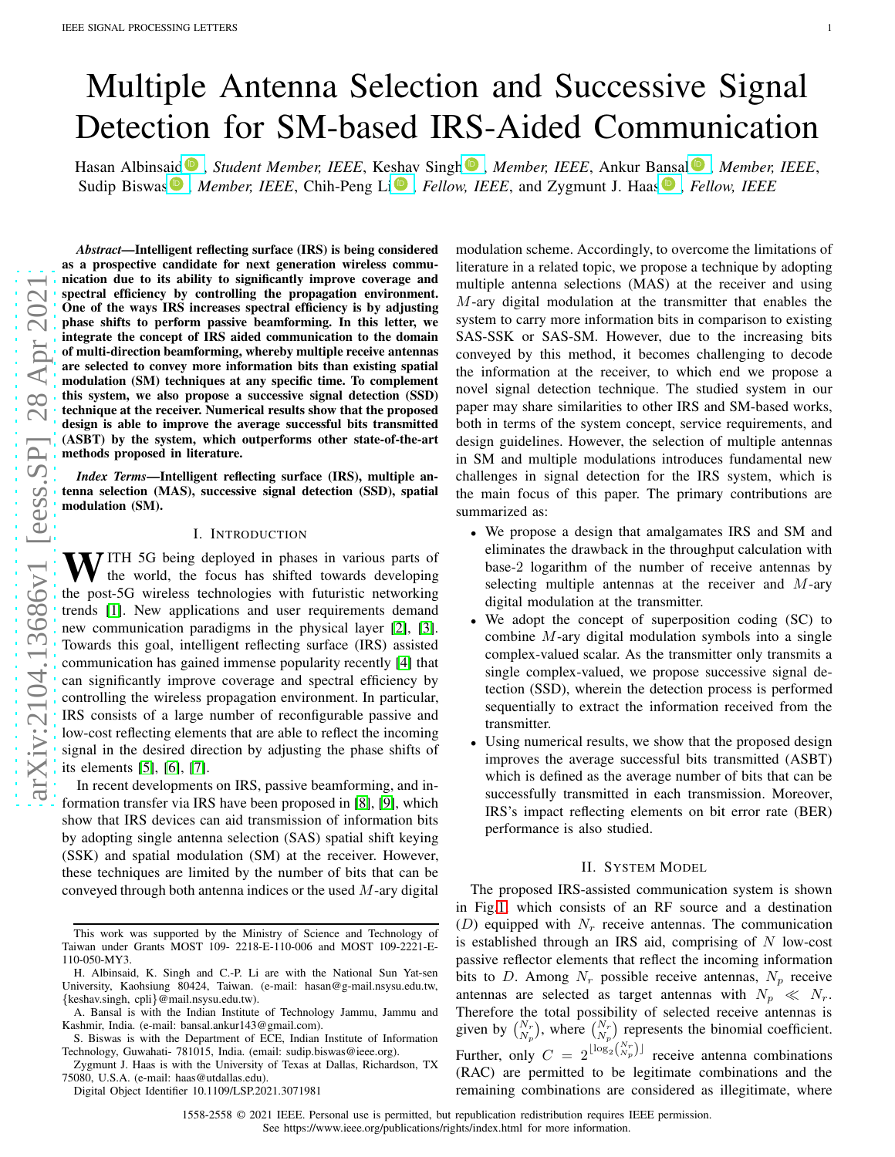# Multiple Antenna Selection and Successive Signal Detection for SM-based IRS-Aided Communication

Hasan Albinsaid<sup>®</sup>, *Student Member, IEEE*, K[eshav](https://orcid.org/0000-0003-0050-0921) Singh®, *Member, IEEE*, Ankur B[ansa](https://orcid.org/0000-0003-4225-7333)l®, Member, IEEE, Sudip Biswas<sup>®</sup>, *Member, IEEE*, Chih-Peng Li<sup>®</sup>, *Fellow, IEEE*, and Zygmunt J. Haas<sup>®</sup>, *Fellow, IEEE* 

[arXiv:2104.13686v1 \[eess.SP\] 28 Apr 2021](http://arxiv.org/abs/2104.13686v1) arXiv:2104.13686v1 [eess.SP] 28 Apr 202

*Abstract*—Intelligent reflecting surface (IRS) is being considered as a prospective candidate for next generation wireless communication due to its ability to significantly improve coverage and spectral efficiency by controlling the propagation environment. One of the ways IRS increases spectral efficiency is by adjusting phase shifts to perform passive beamforming. In this letter, we integrate the concept of IRS aided communication to the domain of multi-direction beamforming, whereby multiple receive antennas are selected to convey more information bits than existing spatial modulation (SM) techniques at any specific time. To complement this system, we also propose a successive signal detection (SSD) technique at the receiver. Numerical results show that the proposed design is able to improve the average successful bits transmitted (ASBT) by the system, which outperforms other state-of-the-art methods proposed in literature.

*Index Terms*—Intelligent reflecting surface (IRS), multiple antenna selection (MAS), successive signal detection (SSD), spatial modulation (SM).

## I. INTRODUCTION

 $\bf{W}$  ITH 5G being deployed in phases in various parts of the world, the focus has shifted towards developing the post-5G wireless technologies with futuristic networking trends [\[1\]](#page-4-0). New applications and user requirements demand new communication paradigms in the physical layer [\[2\]](#page-4-1), [\[3\]](#page-4-2). Towards this goal, intelligent reflecting surface (IRS) assisted communication has gained immense popularity recently [\[4\]](#page-4-3) that can significantly improve coverage and spectral efficiency b y controlling the wireless propagation environment. In particular, IRS consists of a large number of reconfigurable passive and low-cost reflecting elements that are able to reflect the incoming signal in the desired direction by adjusting the phase shifts of its elements [\[5\]](#page-4-4), [\[6\]](#page-4-5), [\[7\]](#page-4-6).

In recent developments on IRS, passive beamforming, and information transfer via IRS have been proposed in [\[8\]](#page-4-7), [\[9\]](#page-4-8), which show that IRS devices can aid transmission of information bits by adopting single antenna selection (SAS) spatial shift keying (SSK) and spatial modulation (SM) at the receiver. However, these techniques are limited by the number of bits that can be conveyed through both antenna indices or the used  $M$ -ary digital

Digital Object Identifier 10.1109/LSP.2021.3071981

modulation scheme. Accordingly, to overcome the limitations of literature in a related topic, we propose a technique by adopting multiple antenna selections (MAS) at the receiver and using M-ary digital modulation at the transmitter that enables the system to carry more information bits in comparison to existing SAS-SSK or SAS-SM. However, due to the increasing bits conveyed by this method, it becomes challenging to decode the information at the receiver, to which end we propose a novel signal detection technique. The studied system in our paper may share similarities to other IRS and SM-based works , both in terms of the system concept, service requirements, and design guidelines. However, the selection of multiple antennas in SM and multiple modulations introduces fundamental new challenges in signal detection for the IRS system, which is the main focus of this paper. The primary contributions are summarized as:

- We propose a design that amalgamates IRS and SM and eliminates the drawback in the throughput calculation with base-2 logarithm of the number of receive antennas by selecting multiple antennas at the receiver and M-ary digital modulation at the transmitter.
- We adopt the concept of superposition coding (SC) to combine M-ary digital modulation symbols into a single complex-valued scalar. As the transmitter only transmits a single complex-valued, we propose successive signal detection (SSD), wherein the detection process is performed sequentially to extract the information received from the transmitter.
- Using numerical results, we show that the proposed design improves the average successful bits transmitted (ASBT) which is defined as the average number of bits that can be successfully transmitted in each transmission. Moreover, IRS's impact reflecting elements on bit error rate (BER) performance is also studied.

# II. SYSTEM MODEL

The proposed IRS-assisted communication system is shown in Fig[.1,](#page-1-0) which consists of an RF source and a destination (D) equipped with  $N_r$  receive antennas. The communication is established through an IRS aid, comprising of N low-cost passive reflector elements that reflect the incoming information bits to D. Among  $N_r$  possible receive antennas,  $N_p$  receive antennas are selected as target antennas with  $N_p \ll N_r$ . Therefore the total possibility of selected receive antennas is given by  $\binom{N_r}{N_p}$ , where  $\binom{N_r}{N_p}$  represents the binomial coefficient. Further, only  $C = 2^{\lfloor \log_2 \binom{N_r}{N_p} \rfloor}$  receive antenna combinations (RAC) are permitted to be legitimate combinations and the remaining combinations are considered as illegitimate, where

1558-2558 © 2021 IEEE. Personal use is permitted, but republication redistribution requires IEEE permission.

See https://www.ieee.org/publications/rights/index.html for more information.

This work was supported by the Ministry of Science and Technology of Taiwan under Grants MOST 109- 2218-E-110-006 and MOST 109-2221-E-110-050-MY3.

H. Albinsaid, K. Singh and C.-P. Li are with the National Sun Yat-sen University, Kaohsiung 80424, Taiwan. (e-mail: hasan@g-mail.nsysu.edu.tw, {keshav.singh, cpli}@mail.nsysu.edu.tw).

A. Bansal is with the Indian Institute of Technology Jammu, Jammu and Kashmir, India. (e-mail: bansal.ankur143@gmail.com).

S. Biswas is with the Department of ECE, Indian Institute of Information Technology, Guwahati- 781015, India. (email: sudip.biswas@ieee.org).

Zygmunt J. Haas is with the University of Texas at Dallas, Richardson, TX 75080, U.S.A. (e-mail: haas@utdallas.edu).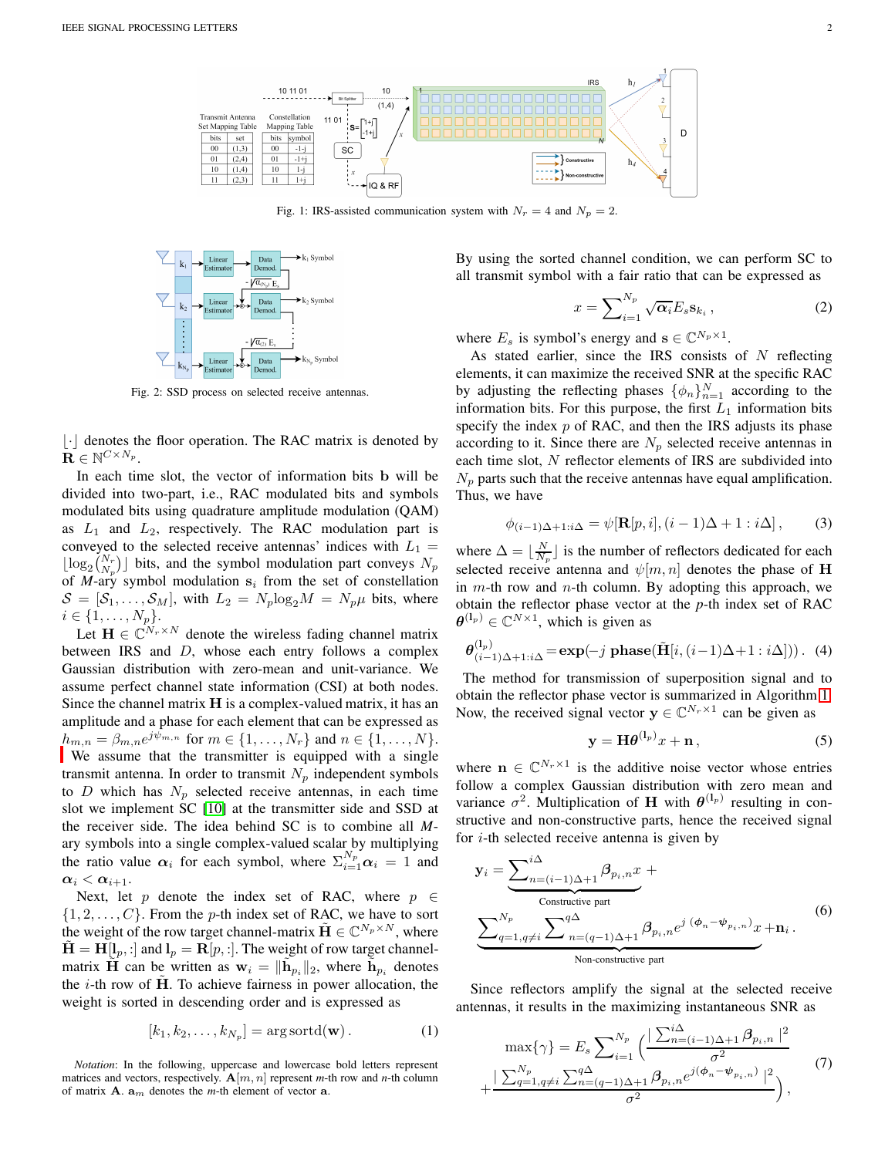<span id="page-1-0"></span>

Fig. 1: IRS-assisted communication system with  $N_r = 4$  and  $N_p = 2$ .

<span id="page-1-4"></span>

Fig. 2: SSD process on selected receive antennas.

 $|\cdot|$  denotes the floor operation. The RAC matrix is denoted by  $\mathbf{R} \in \mathbb{N}^{C \times N_p}$ .

In each time slot, the vector of information bits b will be divided into two-part, i.e., RAC modulated bits and symbols modulated bits using quadrature amplitude modulation (QAM) as  $L_1$  and  $L_2$ , respectively. The RAC modulation part is conveyed to the selected receive antennas' indices with  $L_1$  =  $\lfloor \log_2 \binom{N_r}{N_p} \rfloor$  bits, and the symbol modulation part conveys  $N_p$ of *M*-ary symbol modulation  $s_i$  from the set of constellation  $S = [S_1, \ldots, S_M]$ , with  $L_2 = N_p \log_2 M = N_p \mu$  bits, where  $i \in \{1, \ldots, N_p\}.$ 

Let  $\mathbf{H} \in \mathbb{C}^{N_r \times N}$  denote the wireless fading channel matrix between IRS and  $D$ , whose each entry follows a complex Gaussian distribution with zero-mean and unit-variance. We assume perfect channel state information (CSI) at both nodes. Since the channel matrix  $H$  is a complex-valued matrix, it has an amplitude and a phase for each element that can be expressed as  $h_{m,n} = \beta_{m,n} e^{j\psi_{m,n}}$  $h_{m,n} = \beta_{m,n} e^{j\psi_{m,n}}$  for  $m \in \{1, ..., N_r\}$  and  $n \in \{1, ..., N\}$ .

We assume that the transmitter is equipped with a single transmit antenna. In order to transmit  $N_p$  independent symbols to D which has  $N_p$  selected receive antennas, in each time slot we implement SC [\[10\]](#page-4-9) at the transmitter side and SSD at the receiver side. The idea behind SC is to combine all *M*ary symbols into a single complex-valued scalar by multiplying the ratio value  $\alpha_i$  for each symbol, where  $\sum_{i=1}^{N_p} \alpha_i = 1$  and  $\alpha_i < \alpha_{i+1}.$ 

Next, let p denote the index set of RAC, where  $p \in$  $\{1, 2, \ldots, C\}$ . From the p-th index set of RAC, we have to sort the weight of the row target channel-matrix  $\tilde{\mathbf{H}} \in \mathbb{C}^{N_p \times N}$ , where  $H = H[l_p, :]$  and  $l_p = R[p, :]$ . The weight of row target channelmatrix  $\tilde{H}$  can be written as  $w_i = \|\tilde{h}_{p_i}\|_2$ , where  $\tilde{h}_{p_i}$  denotes the  $i$ -th row of H. To achieve fairness in power allocation, the weight is sorted in descending order and is expressed as

$$
[k_1, k_2, \dots, k_{N_p}] = \arg\operatorname{sortd}(\mathbf{w}). \tag{1}
$$

<span id="page-1-1"></span>*Notation*: In the following, uppercase and lowercase bold letters represent matrices and vectors, respectively.  $\mathbf{A}[m, n]$  represent *m*-th row and *n*-th column of matrix  $A$ .  $a_m$  denotes the *m*-th element of vector  $a$ .

By using the sorted channel condition, we can perform SC to all transmit symbol with a fair ratio that can be expressed as

$$
x = \sum_{i=1}^{N_p} \sqrt{\alpha_i} E_s \mathbf{s}_{k_i}, \qquad (2)
$$

where  $E_s$  is symbol's energy and  $\mathbf{s} \in \mathbb{C}^{N_p \times 1}$ .

As stated earlier, since the IRS consists of  $N$  reflecting elements, it can maximize the received SNR at the specific RAC by adjusting the reflecting phases  $\{\phi_n\}_{n=1}^N$  according to the information bits. For this purpose, the first  $L_1$  information bits specify the index  $p$  of RAC, and then the IRS adjusts its phase according to it. Since there are  $N_p$  selected receive antennas in each time slot, N reflector elements of IRS are subdivided into  $N_p$  parts such that the receive antennas have equal amplification. Thus, we have

$$
\phi_{(i-1)\Delta+1:i\Delta} = \psi[\mathbf{R}[p,i], (i-1)\Delta+1:i\Delta], \quad (3)
$$

where  $\Delta = \lfloor \frac{N}{N_p} \rfloor$  is the number of reflectors dedicated for each selected receive antenna and  $\psi[m,n]$  denotes the phase of H in  $m$ -th row and  $n$ -th column. By adopting this approach, we obtain the reflector phase vector at the *p*-th index set of RAC  $\boldsymbol{\theta}^{(1_p)} \in \mathbb{C}^{N \times 1}$ , which is given as

<span id="page-1-3"></span>
$$
\boldsymbol{\theta}_{(i-1)\Delta+1:i\Delta}^{(1_p)} = \exp(-j \text{ phase}(\tilde{\mathbf{H}}[i,(i-1)\Delta+1:i\Delta]))\,. \tag{4}
$$

The method for transmission of superposition signal and to obtain the reflector phase vector is summarized in Algorithm [1.](#page-2-0) Now, the received signal vector  $y \in \mathbb{C}^{N_r \times 1}$  can be given as

<span id="page-1-2"></span>
$$
y = H\theta^{(l_p)}x + n\,,\tag{5}
$$

where  $\mathbf{n} \in \mathbb{C}^{N_r \times 1}$  is the additive noise vector whose entries follow a complex Gaussian distribution with zero mean and variance  $\sigma^2$ . Multiplication of **H** with  $\theta^{(l_p)}$  resulting in constructive and non-constructive parts, hence the received signal for  $i$ -th selected receive antenna is given by

$$
\mathbf{y}_{i} = \underbrace{\sum_{n=(i-1)\Delta+1}^{i\Delta} \beta_{p_{i},n} x}_{\text{Constructive part}} + \underbrace{\sum_{q=1,q\neq i}^{N_{p}} \sum_{n=(q-1)\Delta+1}^{q\Delta} \beta_{p_{i},n} e^{j (\phi_{n}-\psi_{p_{i},n})} x}_{\text{Non-constructive part}} + \mathbf{n}_{i}.
$$
 (6)

Since reflectors amplify the signal at the selected receive antennas, it results in the maximizing instantaneous SNR as

$$
\max{\gamma} = E_s \sum_{i=1}^{N_p} \left( \frac{\sum_{n=(i-1)\Delta+1}^{i\Delta} \beta_{p_i, n} \mid^2}{\sigma^2} + \frac{\sum_{q=1, q \neq i}^{N_p} \sum_{n=(q-1)\Delta+1}^{q\Delta} \beta_{p_i, n} e^{j(\phi_n - \psi_{p_i, n})} \mid^2}{\sigma^2} \right),
$$
\n(7)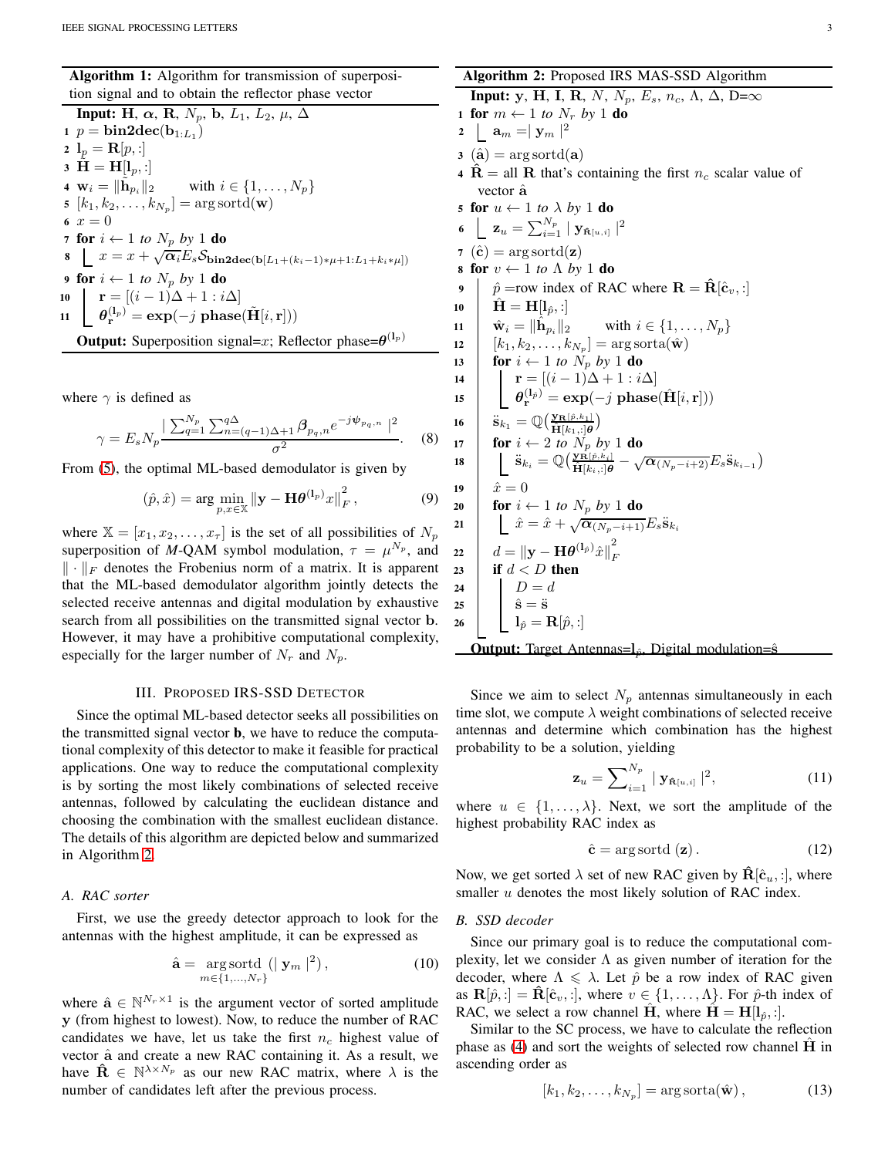Algorithm 1: Algorithm for transmission of superposition signal and to obtain the reflector phase vector

Input: H,  $\alpha$ , R,  $N_p$ , b,  $L_1$ ,  $L_2$ ,  $\mu$ ,  $\Delta$ 1  $p = bin2dec(b_{1:L_1})$ 2  $l_p = {\bf R}[p,:]$ 3  $H = H[l_p, :]$ 4  $w_i = ||h_{p_i}||_2$ with  $i \in \{1, \ldots, N_p\}$  $\mathfrak{s} \ \left[ k_1, k_2, \ldots, k_{N_p} \right] = \arg\text{sortd}(\mathbf{w})$ 6  $x = 0$ 7 for  $i \leftarrow 1$  to  $N_p$  by 1 do 8  $x = x + \sqrt{\alpha_i E_s} \mathcal{S}_{\text{bin2dec}(\mathbf{b}[L_1+(k_i-1)*\mu+1:L_1+k_i*\mu])}$ 9 **for**  $i \leftarrow 1$  *to*  $N_p$  *by* 1 **do**<br>**10 | r** = [(*i* − 1)∆ + 1 : *i*/ 10  $\mathbf{r} = [(i-1)\Delta + 1 : i\Delta]$ 11  $\theta_{\mathbf{r}}^{(l_p)} = \exp(-j \text{ phase}(\tilde{\mathbf{H}}[i,\mathbf{r}]))$ **Output:** Superposition signal=x; Reflector phase= $\theta^{(1_p)}$ 

<span id="page-2-0"></span>where  $\gamma$  is defined as

$$
\gamma = E_s N_p \frac{\sum_{q=1}^{N_p} \sum_{n=(q-1)\Delta+1}^{q\Delta} \beta_{p_q,n} e^{-j\psi_{p_q,n}}\n}{\sigma^2}.
$$
 (8)

From [\(5\)](#page-1-2), the optimal ML-based demodulator is given by

<span id="page-2-3"></span>
$$
(\hat{p}, \hat{x}) = \arg \min_{p, x \in \mathbb{X}} \left\| \mathbf{y} - \mathbf{H} \boldsymbol{\theta}^{(1_p)} x \right\|_F^2, \tag{9}
$$

where  $X = [x_1, x_2, \dots, x_\tau]$  is the set of all possibilities of  $N_p$ superposition of *M*-QAM symbol modulation,  $\tau = \mu^{N_p}$ , and  $\|\cdot\|_F$  denotes the Frobenius norm of a matrix. It is apparent that the ML-based demodulator algorithm jointly detects the selected receive antennas and digital modulation by exhaustive search from all possibilities on the transmitted signal vector b. However, it may have a prohibitive computational complexity, especially for the larger number of  $N_r$  and  $N_p$ .

### III. PROPOSED IRS-SSD DETECTOR

Since the optimal ML-based detector seeks all possibilities on the transmitted signal vector b, we have to reduce the computational complexity of this detector to make it feasible for practical applications. One way to reduce the computational complexity is by sorting the most likely combinations of selected receive antennas, followed by calculating the euclidean distance and choosing the combination with the smallest euclidean distance. The details of this algorithm are depicted below and summarized in Algorithm [2.](#page-2-1)

# *A. RAC sorter*

First, we use the greedy detector approach to look for the antennas with the highest amplitude, it can be expressed as

$$
\hat{\mathbf{a}} = \underset{m \in \{1, \ldots, N_r\}}{\arg \operatorname{sortd}} \left( \mid \mathbf{y}_m \mid^2 \right),\tag{10}
$$

where  $\hat{\mathbf{a}} \in \mathbb{N}^{N_r \times 1}$  is the argument vector of sorted amplitude y (from highest to lowest). Now, to reduce the number of RAC candidates we have, let us take the first  $n_c$  highest value of vector  $\hat{a}$  and create a new RAC containing it. As a result, we have  $\hat{\mathbf{R}} \in \mathbb{N}^{\lambda \times N_p}$  as our new RAC matrix, where  $\lambda$  is the number of candidates left after the previous process.

Algorithm 2: Proposed IRS MAS-SSD Algorithm Input: y, H, I, R, N, N<sub>p</sub>, E<sub>s</sub>, n<sub>c</sub>, Λ, Δ, D= $\infty$ 1 for  $m \leftarrow 1$  to  $N_r$  by 1 do 2  $\boxed{\mathbf{a}_m = |\ \mathbf{y}_m \ |^2}$  $3 \text{ (a)} = \arg\text{sortd}(\mathbf{a})$ 4 R = all R that's containing the first  $n_c$  scalar value of vector â 5 for  $u \leftarrow 1$  to  $\lambda$  by  $1$  do 6  $\quad \mathbf{z}_u = \sum_{i=1}^{N_p} \mid \mathbf{y}_{\mathbf{\hat{n}}[u,i]} \mid^2$ 7 ( $\hat{\mathbf{c}}$ ) = arg sortd(**z**) 8 for  $v \leftarrow 1$  *to*  $\Lambda$  *by* 1 **do**<br>9  $\phi$  = row index of RA  $\hat{p}$  =row index of RAC where  $\mathbf{R} = \hat{\mathbf{R}}[\hat{\mathbf{c}}_v, :]$ 10  $\hat{H} = H[l_{\hat{p}},:]$ 11  $\hat{\mathbf{w}}_i = \|\hat{\mathbf{h}}_{p_i}\|_2$ <br>
12  $[k_1, k_2, \ldots, k]$ with  $i \in \{1, \ldots, N_p\}$ 12  $[k_1, k_2, \ldots, k_{N_p}] = \arg\text{sorta}(\hat{\mathbf{w}})$ 13 **for**  $i \leftarrow 1$  to  $\hat{N}_p$  by 1 **do**<br>14 **for**  $i = [(i-1)\Delta + 1 : i]$ 14  $\mathbf{r} = [(i-1)\Delta + 1 : i\Delta]$ <br>15  $\theta_{\perp}^{(1_{\hat{p}})} = \exp(-i \text{ phase})$  $\mathbf{15} \quad \begin{array}{c} \quad \mathbf{0}_\mathbf{r}^{(1_\beta)} = \mathbf{exp}(-j \; \mathbf{phase}(\hat{\mathbf{H}}[i, \mathbf{r}])) \end{array}$ 16  $\mathbf{\ddot{s}}_{k_1} = \mathbb{Q}\big(\frac{\mathbf{y_R}[\hat{\rho},k_1]}{\hat{\mathbf{H}}[k_1,:]\boldsymbol{\theta}}\big)$ 17 **for**  $i \leftarrow 2$  to  $N_p$  by 1 do  $\begin{array}{cc} \textbf{18} & \quad \end{array} \bigg| \quad \begin{array}{c} \ddot{\textbf{s}}_{k_{i}} = \mathbb{Q}\big(\frac{\textbf{y}_{\hat{\textbf{R}}}[\hat{p},k_{i}]}{\hat{\textbf{H}}[k_{i},:] \boldsymbol{\theta}} - \sqrt{\boldsymbol{\alpha}_{(N_{p}-i+2)}}E_{s}\ddot{\textbf{s}}_{k_{i-1}}\big) \end{array}$ 19  $\hat{x} = 0$ 20 **for**  $i \leftarrow 1$  *to*  $N_p$  *by* 1 **do** 21  $\hat{x} = \hat{x} + \sqrt{\alpha_{(N_p - i + 1)}} E_s$   $\ddot{s}_{k_i}$ 22  $\left\| \boldsymbol{d} = \|\mathbf{y} - \mathbf{H} \boldsymbol{\theta}^{(1_{\hat{p}})} \hat{x} \right\|_F^2$ F 23 if  $d < D$  then 24 |  $D = d$ 25  $\hat{\mathbf{s}} = \ddot{\mathbf{s}}$ 26  $\mathbf{l}_{\hat{p}} = \mathbf{R}[\hat{p},:]$ Output: Target Antennas=le, Digital modulation=ŝ

<span id="page-2-1"></span>Since we aim to select  $N_p$  antennas simultaneously in each time slot, we compute  $\lambda$  weight combinations of selected receive antennas and determine which combination has the highest probability to be a solution, yielding

$$
\mathbf{z}_{u} = \sum_{i=1}^{N_p} | \mathbf{y}_{\hat{\mathbf{R}}[u,i]} |^2, \qquad (11)
$$

where  $u \in \{1, \ldots, \lambda\}$ . Next, we sort the amplitude of the highest probability RAC index as

$$
\hat{\mathbf{c}} = \arg\operatorname{sortd}(\mathbf{z}).\tag{12}
$$

Now, we get sorted  $\lambda$  set of new RAC given by  $\hat{\mathbf{R}}[\hat{\mathbf{c}}_u, \cdot]$ , where smaller  $u$  denotes the most likely solution of RAC index.

## *B. SSD decoder*

Since our primary goal is to reduce the computational complexity, let we consider  $\Lambda$  as given number of iteration for the decoder, where  $\Lambda \leq \lambda$ . Let  $\hat{p}$  be a row index of RAC given as  $\mathbf{R}[\hat{p},\cdot] = \hat{\mathbf{R}}[\hat{\mathbf{c}}_v,\cdot]$ , where  $v \in \{1,\ldots,\Lambda\}$ . For  $\hat{p}$ -th index of RAC, we select a row channel  $\hat{H}$ , where  $\hat{H} = H[I_{\hat{p}},:]$ .

Similar to the SC process, we have to calculate the reflection phase as  $(4)$  and sort the weights of selected row channel  $H$  in ascending order as

<span id="page-2-2"></span>
$$
[k_1, k_2, \dots, k_{N_p}] = \arg\operatorname{sorta}(\hat{\mathbf{w}}), \qquad (13)
$$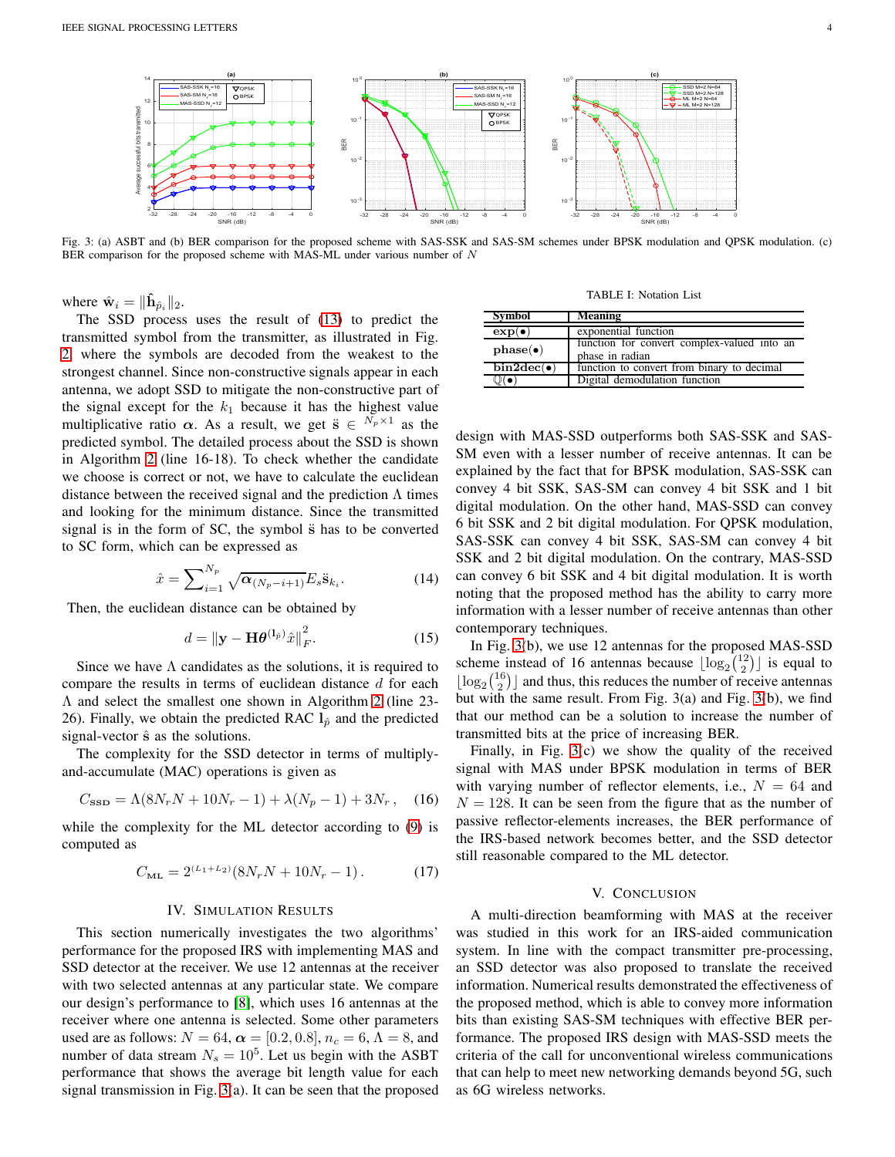<span id="page-3-0"></span>

Fig. 3: (a) ASBT and (b) BER comparison for the proposed scheme with SAS-SSK and SAS-SM schemes under BPSK modulation and QPSK modulation. (c) BER comparison for the proposed scheme with MAS-ML under various number of N

where  $\hat{\mathbf{w}}_i = \|\hat{\mathbf{h}}_{\hat{p}_i}\|_2$ .

The SSD process uses the result of [\(13\)](#page-2-2) to predict the transmitted symbol from the transmitter, as illustrated in Fig. [2,](#page-1-4) where the symbols are decoded from the weakest to the strongest channel. Since non-constructive signals appear in each antenna, we adopt SSD to mitigate the non-constructive part of the signal except for the  $k_1$  because it has the highest value multiplicative ratio  $\alpha$ . As a result, we get  $\ddot{s} \in {}^{N_p \times 1}$  as the predicted symbol. The detailed process about the SSD is shown in Algorithm [2](#page-2-1) (line 16-18). To check whether the candidate we choose is correct or not, we have to calculate the euclidean distance between the received signal and the prediction  $\Lambda$  times and looking for the minimum distance. Since the transmitted signal is in the form of SC, the symbol  $\ddot{s}$  has to be converted to SC form, which can be expressed as

$$
\hat{x} = \sum_{i=1}^{N_p} \sqrt{\alpha_{(N_p - i + 1)}} E_s \ddot{\mathbf{s}}_{k_i}.
$$
\n(14)

Then, the euclidean distance can be obtained by

$$
d = \left\| \mathbf{y} - \mathbf{H} \boldsymbol{\theta}^{(1_{\hat{p}})} \hat{x} \right\|_F^2.
$$
 (15)

Since we have  $\Lambda$  candidates as the solutions, it is required to compare the results in terms of euclidean distance  $d$  for each Λ and select the smallest one shown in Algorithm [2](#page-2-1) (line 23- 26). Finally, we obtain the predicted RAC  $l_{\hat{p}}$  and the predicted signal-vector  $\hat{\mathbf{s}}$  as the solutions.

The complexity for the SSD detector in terms of multiplyand-accumulate (MAC) operations is given as

$$
C_{\text{SSD}} = \Lambda (8N_r N + 10N_r - 1) + \lambda (N_p - 1) + 3N_r, \quad (16)
$$

while the complexity for the ML detector according to [\(9\)](#page-2-3) is computed as

$$
C_{\text{ML}} = 2^{(L_1 + L_2)} (8N_r N + 10N_r - 1). \tag{17}
$$

## IV. SIMULATION RESULTS

This section numerically investigates the two algorithms' performance for the proposed IRS with implementing MAS and SSD detector at the receiver. We use 12 antennas at the receiver with two selected antennas at any particular state. We compare our design's performance to [\[8\]](#page-4-7), which uses 16 antennas at the receiver where one antenna is selected. Some other parameters used are as follows:  $N = 64$ ,  $\alpha = [0.2, 0.8]$ ,  $n_c = 6$ ,  $\Lambda = 8$ , and number of data stream  $N_s = 10^5$ . Let us begin with the ASBT performance that shows the average bit length value for each signal transmission in Fig. [3\(](#page-3-0)a). It can be seen that the proposed

TABLE I: Notation List

| <b>Symbol</b>  | <b>Meaning</b>                                                 |
|----------------|----------------------------------------------------------------|
| $exp(\bullet)$ | exponential function                                           |
| phase(•)       | function for convert complex-valued into an<br>phase in radian |
| $bin2dec($ .   | function to convert from binary to decimal                     |
|                | Digital demodulation function                                  |

design with MAS-SSD outperforms both SAS-SSK and SAS-SM even with a lesser number of receive antennas. It can be explained by the fact that for BPSK modulation, SAS-SSK can convey 4 bit SSK, SAS-SM can convey 4 bit SSK and 1 bit digital modulation. On the other hand, MAS-SSD can convey 6 bit SSK and 2 bit digital modulation. For QPSK modulation, SAS-SSK can convey 4 bit SSK, SAS-SM can convey 4 bit SSK and 2 bit digital modulation. On the contrary, MAS-SSD can convey 6 bit SSK and 4 bit digital modulation. It is worth noting that the proposed method has the ability to carry more information with a lesser number of receive antennas than other contemporary techniques.

In Fig. [3\(](#page-3-0)b), we use 12 antennas for the proposed MAS-SSD scheme instead of 16 antennas because  $\lfloor \log_2{\binom{12}{2}} \rfloor$  is equal to  $\lfloor \log_2{\binom{16}{2}} \rfloor$  and thus, this reduces the number of receive antennas but with the same result. From Fig. 3(a) and Fig. [3\(](#page-3-0)b), we find that our method can be a solution to increase the number of transmitted bits at the price of increasing BER.

Finally, in Fig. [3\(](#page-3-0)c) we show the quality of the received signal with MAS under BPSK modulation in terms of BER with varying number of reflector elements, i.e.,  $N = 64$  and  $N = 128$ . It can be seen from the figure that as the number of passive reflector-elements increases, the BER performance of the IRS-based network becomes better, and the SSD detector still reasonable compared to the ML detector.

### V. CONCLUSION

A multi-direction beamforming with MAS at the receiver was studied in this work for an IRS-aided communication system. In line with the compact transmitter pre-processing, an SSD detector was also proposed to translate the received information. Numerical results demonstrated the effectiveness of the proposed method, which is able to convey more information bits than existing SAS-SM techniques with effective BER performance. The proposed IRS design with MAS-SSD meets the criteria of the call for unconventional wireless communications that can help to meet new networking demands beyond 5G, such as 6G wireless networks.